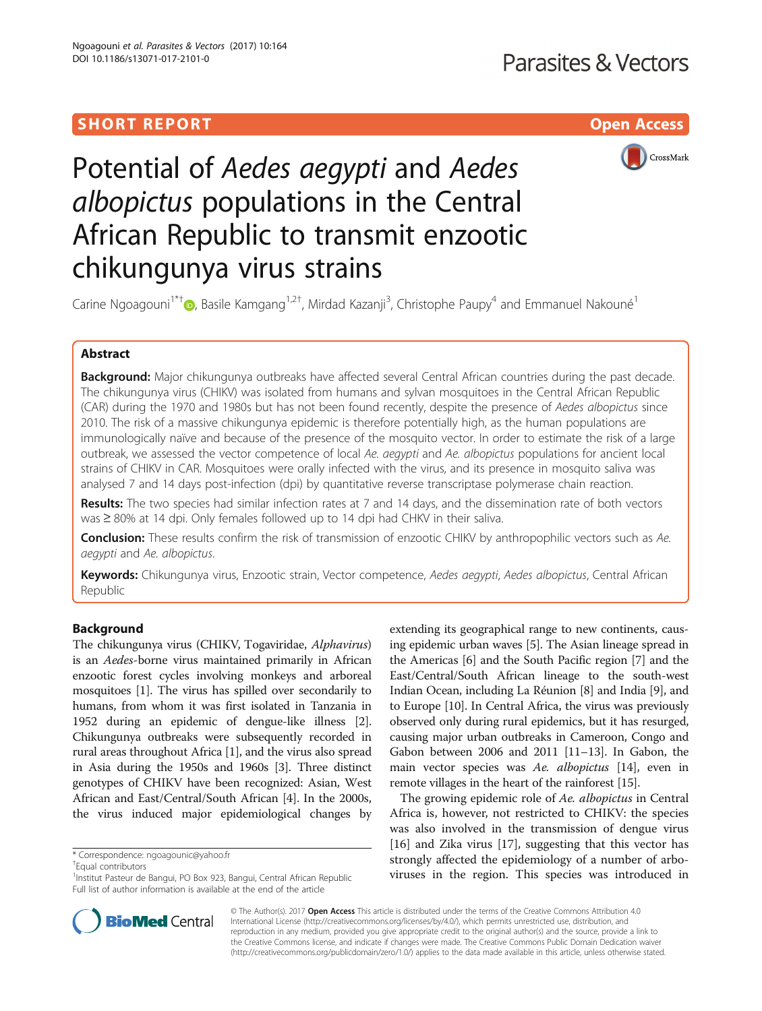# SHORT REPORT NAMEL AND THE SHORT CONSTRUCTION OF THE SHORT CONSTRUCTION OF THE SHOPT OF THE SHOPT OF THE SHOPT



# Potential of Aedes aegypti and Aedes albopictus populations in the Central African Republic to transmit enzootic chikungunya virus strains

Carine Ngoagouni<sup>1\*†</sup>®, Basile Kamgang<sup>1,2†</sup>, Mirdad Kazanji<sup>3</sup>, Christophe Paupy<sup>4</sup> and Emmanuel Nakouné<sup>1</sup>

# Abstract

Background: Major chikungunya outbreaks have affected several Central African countries during the past decade. The chikungunya virus (CHIKV) was isolated from humans and sylvan mosquitoes in the Central African Republic (CAR) during the 1970 and 1980s but has not been found recently, despite the presence of Aedes albopictus since 2010. The risk of a massive chikungunya epidemic is therefore potentially high, as the human populations are immunologically naïve and because of the presence of the mosquito vector. In order to estimate the risk of a large outbreak, we assessed the vector competence of local Ae. aegypti and Ae. albopictus populations for ancient local strains of CHIKV in CAR. Mosquitoes were orally infected with the virus, and its presence in mosquito saliva was analysed 7 and 14 days post-infection (dpi) by quantitative reverse transcriptase polymerase chain reaction.

Results: The two species had similar infection rates at 7 and 14 days, and the dissemination rate of both vectors was ≥80% at 14 dpi. Only females followed up to 14 dpi had CHKV in their saliva.

Conclusion: These results confirm the risk of transmission of enzootic CHIKV by anthropophilic vectors such as Ae. aegypti and Ae. albopictus.

Keywords: Chikungunya virus, Enzootic strain, Vector competence, Aedes aegypti, Aedes albopictus, Central African Republic

## Background

The chikungunya virus (CHIKV, Togaviridae, Alphavirus) is an Aedes-borne virus maintained primarily in African enzootic forest cycles involving monkeys and arboreal mosquitoes [\[1](#page-3-0)]. The virus has spilled over secondarily to humans, from whom it was first isolated in Tanzania in 1952 during an epidemic of dengue-like illness [[2](#page-3-0)]. Chikungunya outbreaks were subsequently recorded in rural areas throughout Africa [\[1](#page-3-0)], and the virus also spread in Asia during the 1950s and 1960s [[3\]](#page-3-0). Three distinct genotypes of CHIKV have been recognized: Asian, West African and East/Central/South African [\[4\]](#page-3-0). In the 2000s, the virus induced major epidemiological changes by

Equal contributors

extending its geographical range to new continents, causing epidemic urban waves [\[5](#page-3-0)]. The Asian lineage spread in the Americas [[6](#page-3-0)] and the South Pacific region [[7\]](#page-3-0) and the East/Central/South African lineage to the south-west Indian Ocean, including La Réunion [\[8](#page-3-0)] and India [\[9\]](#page-3-0), and to Europe [[10](#page-3-0)]. In Central Africa, the virus was previously observed only during rural epidemics, but it has resurged, causing major urban outbreaks in Cameroon, Congo and Gabon between 2006 and 2011 [\[11](#page-3-0)–[13](#page-4-0)]. In Gabon, the main vector species was Ae. albopictus [\[14\]](#page-4-0), even in remote villages in the heart of the rainforest [[15](#page-4-0)].

The growing epidemic role of Ae. albopictus in Central Africa is, however, not restricted to CHIKV: the species was also involved in the transmission of dengue virus [[16\]](#page-4-0) and Zika virus [\[17\]](#page-4-0), suggesting that this vector has strongly affected the epidemiology of a number of arboviruses in the region. This species was introduced in



© The Author(s). 2017 **Open Access** This article is distributed under the terms of the Creative Commons Attribution 4.0 International License [\(http://creativecommons.org/licenses/by/4.0/](http://creativecommons.org/licenses/by/4.0/)), which permits unrestricted use, distribution, and reproduction in any medium, provided you give appropriate credit to the original author(s) and the source, provide a link to the Creative Commons license, and indicate if changes were made. The Creative Commons Public Domain Dedication waiver [\(http://creativecommons.org/publicdomain/zero/1.0/](http://creativecommons.org/publicdomain/zero/1.0/)) applies to the data made available in this article, unless otherwise stated.

<sup>\*</sup> Correspondence: [ngoagounic@yahoo.fr](mailto:ngoagounic@yahoo.fr) †

<sup>&</sup>lt;sup>1</sup>Institut Pasteur de Bangui, PO Box 923, Bangui, Central African Republic Full list of author information is available at the end of the article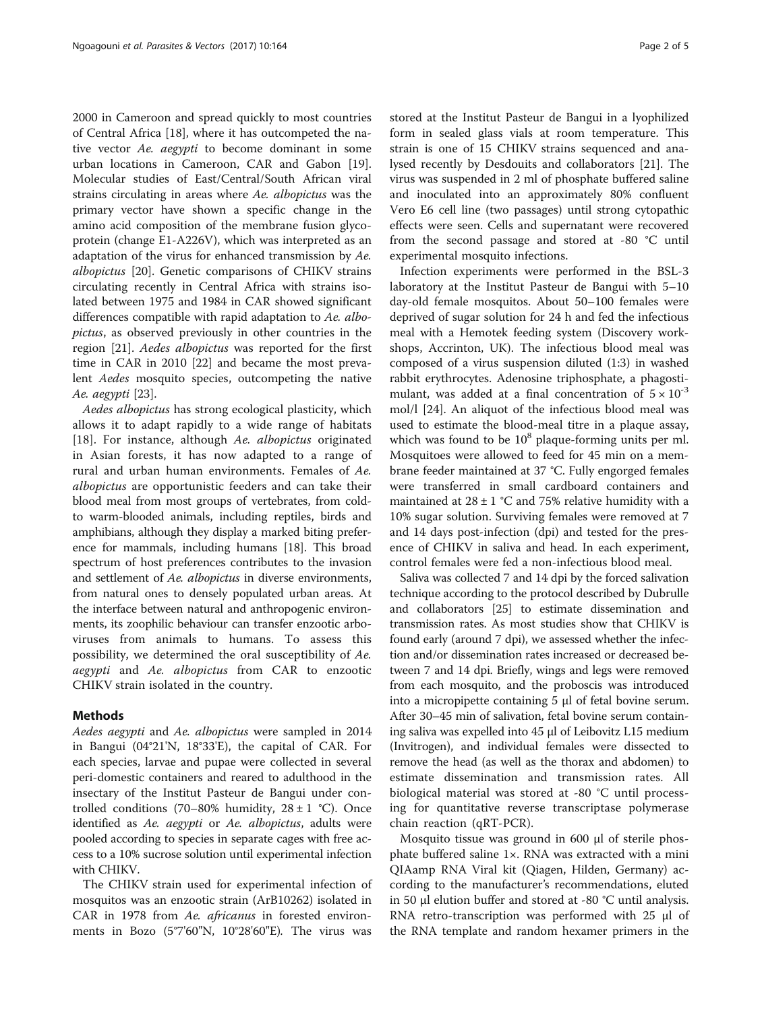2000 in Cameroon and spread quickly to most countries of Central Africa [\[18](#page-4-0)], where it has outcompeted the native vector Ae. aegypti to become dominant in some urban locations in Cameroon, CAR and Gabon [\[19](#page-4-0)]. Molecular studies of East/Central/South African viral strains circulating in areas where Ae. albopictus was the primary vector have shown a specific change in the amino acid composition of the membrane fusion glycoprotein (change E1-A226V), which was interpreted as an adaptation of the virus for enhanced transmission by Ae. albopictus [[20\]](#page-4-0). Genetic comparisons of CHIKV strains circulating recently in Central Africa with strains isolated between 1975 and 1984 in CAR showed significant differences compatible with rapid adaptation to Ae. albopictus, as observed previously in other countries in the region [[21\]](#page-4-0). Aedes albopictus was reported for the first time in CAR in 2010 [\[22\]](#page-4-0) and became the most prevalent Aedes mosquito species, outcompeting the native Ae. aegypti [\[23](#page-4-0)].

Aedes albopictus has strong ecological plasticity, which allows it to adapt rapidly to a wide range of habitats [[18\]](#page-4-0). For instance, although Ae. albopictus originated in Asian forests, it has now adapted to a range of rural and urban human environments. Females of Ae. albopictus are opportunistic feeders and can take their blood meal from most groups of vertebrates, from coldto warm-blooded animals, including reptiles, birds and amphibians, although they display a marked biting preference for mammals, including humans [[18\]](#page-4-0). This broad spectrum of host preferences contributes to the invasion and settlement of Ae. albopictus in diverse environments, from natural ones to densely populated urban areas. At the interface between natural and anthropogenic environments, its zoophilic behaviour can transfer enzootic arboviruses from animals to humans. To assess this possibility, we determined the oral susceptibility of Ae. aegypti and Ae. albopictus from CAR to enzootic CHIKV strain isolated in the country.

## Methods

Aedes aegypti and Ae. albopictus were sampled in 2014 in Bangui (04°21'N, 18°33'E), the capital of CAR. For each species, larvae and pupae were collected in several peri-domestic containers and reared to adulthood in the insectary of the Institut Pasteur de Bangui under controlled conditions (70–80% humidity,  $28 \pm 1$  °C). Once identified as Ae. *aegypti* or Ae. *albopictus*, adults were pooled according to species in separate cages with free access to a 10% sucrose solution until experimental infection with CHIKV.

The CHIKV strain used for experimental infection of mosquitos was an enzootic strain (ArB10262) isolated in CAR in 1978 from Ae. africanus in forested environments in Bozo (5°7'60"N, 10°28'60"E). The virus was stored at the Institut Pasteur de Bangui in a lyophilized form in sealed glass vials at room temperature. This strain is one of 15 CHIKV strains sequenced and analysed recently by Desdouits and collaborators [\[21](#page-4-0)]. The virus was suspended in 2 ml of phosphate buffered saline and inoculated into an approximately 80% confluent Vero E6 cell line (two passages) until strong cytopathic effects were seen. Cells and supernatant were recovered from the second passage and stored at -80 °C until experimental mosquito infections.

Infection experiments were performed in the BSL-3 laboratory at the Institut Pasteur de Bangui with 5–10 day-old female mosquitos. About 50–100 females were deprived of sugar solution for 24 h and fed the infectious meal with a Hemotek feeding system (Discovery workshops, Accrinton, UK). The infectious blood meal was composed of a virus suspension diluted (1:3) in washed rabbit erythrocytes. Adenosine triphosphate, a phagostimulant, was added at a final concentration of  $5 \times 10^{-3}$ mol/l [[24\]](#page-4-0). An aliquot of the infectious blood meal was used to estimate the blood-meal titre in a plaque assay, which was found to be  $10^8$  plaque-forming units per ml. Mosquitoes were allowed to feed for 45 min on a membrane feeder maintained at 37 °C. Fully engorged females were transferred in small cardboard containers and maintained at  $28 \pm 1$  °C and 75% relative humidity with a 10% sugar solution. Surviving females were removed at 7 and 14 days post-infection (dpi) and tested for the presence of CHIKV in saliva and head. In each experiment, control females were fed a non-infectious blood meal.

Saliva was collected 7 and 14 dpi by the forced salivation technique according to the protocol described by Dubrulle and collaborators [[25](#page-4-0)] to estimate dissemination and transmission rates. As most studies show that CHIKV is found early (around 7 dpi), we assessed whether the infection and/or dissemination rates increased or decreased between 7 and 14 dpi. Briefly, wings and legs were removed from each mosquito, and the proboscis was introduced into a micropipette containing 5 μl of fetal bovine serum. After 30–45 min of salivation, fetal bovine serum containing saliva was expelled into 45 μl of Leibovitz L15 medium (Invitrogen), and individual females were dissected to remove the head (as well as the thorax and abdomen) to estimate dissemination and transmission rates. All biological material was stored at -80 °C until processing for quantitative reverse transcriptase polymerase chain reaction (qRT-PCR).

Mosquito tissue was ground in 600 μl of sterile phosphate buffered saline 1×. RNA was extracted with a mini QIAamp RNA Viral kit (Qiagen, Hilden, Germany) according to the manufacturer's recommendations, eluted in 50 μl elution buffer and stored at -80 °C until analysis. RNA retro-transcription was performed with 25 μl of the RNA template and random hexamer primers in the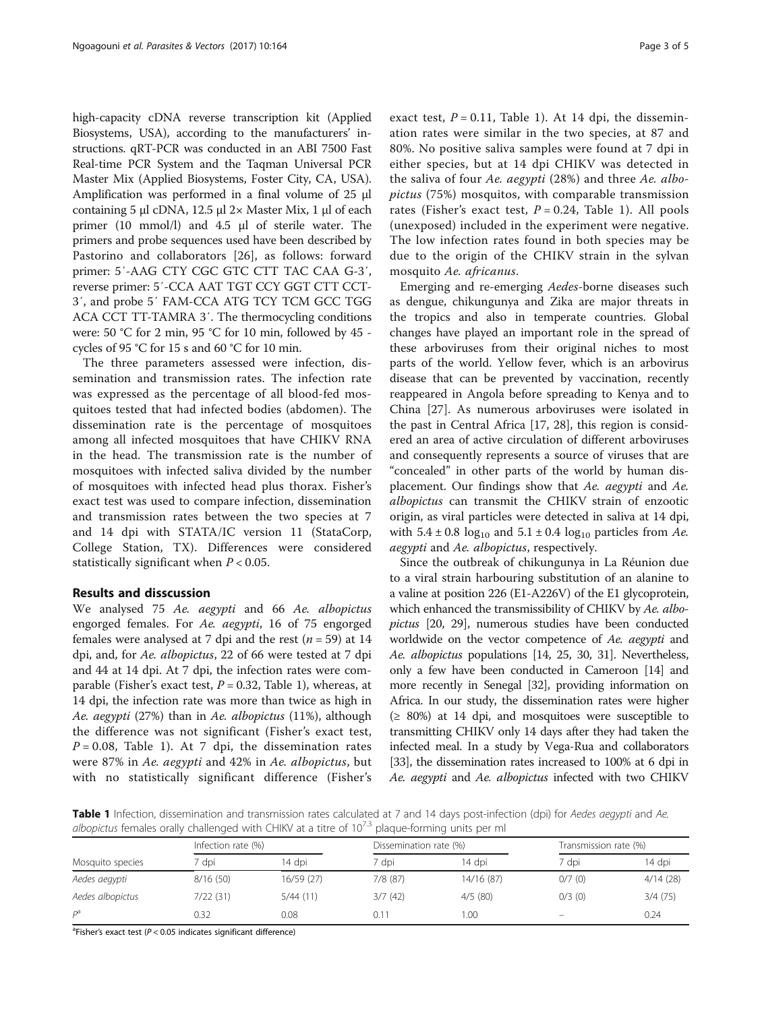high-capacity cDNA reverse transcription kit (Applied Biosystems, USA), according to the manufacturers' instructions. qRT-PCR was conducted in an ABI 7500 Fast Real-time PCR System and the Taqman Universal PCR Master Mix (Applied Biosystems, Foster City, CA, USA). Amplification was performed in a final volume of 25 μl containing 5 μl cDNA, 12.5 μl 2× Master Mix, 1 μl of each primer (10 mmol/l) and 4.5 μl of sterile water. The primers and probe sequences used have been described by Pastorino and collaborators [[26\]](#page-4-0), as follows: forward primer: 5′-AAG CTY CGC GTC CTT TAC CAA G-3′, reverse primer: 5′-CCA AAT TGT CCY GGT CTT CCT-3′, and probe 5′ FAM-CCA ATG TCY TCM GCC TGG ACA CCT TT-TAMRA 3′. The thermocycling conditions were: 50 °C for 2 min, 95 °C for 10 min, followed by 45 cycles of 95 °C for 15 s and 60 °C for 10 min.

The three parameters assessed were infection, dissemination and transmission rates. The infection rate was expressed as the percentage of all blood-fed mosquitoes tested that had infected bodies (abdomen). The dissemination rate is the percentage of mosquitoes among all infected mosquitoes that have CHIKV RNA in the head. The transmission rate is the number of mosquitoes with infected saliva divided by the number of mosquitoes with infected head plus thorax. Fisher's exact test was used to compare infection, dissemination and transmission rates between the two species at 7 and 14 dpi with STATA/IC version 11 (StataCorp, College Station, TX). Differences were considered statistically significant when  $P < 0.05$ .

## Results and disscussion

We analysed 75 Ae. aegypti and 66 Ae. albopictus engorged females. For Ae. aegypti, 16 of 75 engorged females were analysed at 7 dpi and the rest ( $n = 59$ ) at 14 dpi, and, for Ae. albopictus, 22 of 66 were tested at 7 dpi and 44 at 14 dpi. At 7 dpi, the infection rates were comparable (Fisher's exact test,  $P = 0.32$ , Table 1), whereas, at 14 dpi, the infection rate was more than twice as high in Ae. aegypti (27%) than in Ae. albopictus (11%), although the difference was not significant (Fisher's exact test,  $P = 0.08$ , Table 1). At 7 dpi, the dissemination rates were 87% in Ae. aegypti and 42% in Ae. albopictus, but with no statistically significant difference (Fisher's exact test,  $P = 0.11$ , Table 1). At 14 dpi, the dissemination rates were similar in the two species, at 87 and 80%. No positive saliva samples were found at 7 dpi in either species, but at 14 dpi CHIKV was detected in the saliva of four Ae. aegypti (28%) and three Ae. albopictus (75%) mosquitos, with comparable transmission rates (Fisher's exact test,  $P = 0.24$ , Table 1). All pools (unexposed) included in the experiment were negative. The low infection rates found in both species may be due to the origin of the CHIKV strain in the sylvan mosquito Ae. africanus.

Emerging and re-emerging Aedes-borne diseases such as dengue, chikungunya and Zika are major threats in the tropics and also in temperate countries. Global changes have played an important role in the spread of these arboviruses from their original niches to most parts of the world. Yellow fever, which is an arbovirus disease that can be prevented by vaccination, recently reappeared in Angola before spreading to Kenya and to China [\[27\]](#page-4-0). As numerous arboviruses were isolated in the past in Central Africa [\[17](#page-4-0), [28\]](#page-4-0), this region is considered an area of active circulation of different arboviruses and consequently represents a source of viruses that are "concealed" in other parts of the world by human displacement. Our findings show that Ae. aegypti and Ae. albopictus can transmit the CHIKV strain of enzootic origin, as viral particles were detected in saliva at 14 dpi, with  $5.4 \pm 0.8$  log<sub>10</sub> and  $5.1 \pm 0.4$  log<sub>10</sub> particles from Ae. aegypti and Ae. albopictus, respectively.

Since the outbreak of chikungunya in La Réunion due to a viral strain harbouring substitution of an alanine to a valine at position 226 (E1-A226V) of the E1 glycoprotein, which enhanced the transmissibility of CHIKV by Ae. albopictus [\[20](#page-4-0), [29](#page-4-0)], numerous studies have been conducted worldwide on the vector competence of Ae. aegypti and Ae. albopictus populations [\[14, 25, 30, 31\]](#page-4-0). Nevertheless, only a few have been conducted in Cameroon [[14](#page-4-0)] and more recently in Senegal [[32](#page-4-0)], providing information on Africa. In our study, the dissemination rates were higher  $(≥ 80%)$  at 14 dpi, and mosquitoes were susceptible to transmitting CHIKV only 14 days after they had taken the infected meal. In a study by Vega-Rua and collaborators [[33](#page-4-0)], the dissemination rates increased to 100% at 6 dpi in Ae. *aegypti* and Ae. *albopictus* infected with two CHIKV

Table 1 Infection, dissemination and transmission rates calculated at 7 and 14 days post-infection (dpi) for Aedes aegypti and Ae. albopictus females orally challenged with CHIKV at a titre of  $10^{73}$  plaque-forming units per ml

| Mosquito species | Infection rate (%) |            | Dissemination rate (%) |            | Transmission rate (%)   |          |
|------------------|--------------------|------------|------------------------|------------|-------------------------|----------|
|                  | dpi?               | 14 dpi     | ' dpi                  | 14 dpi     | 7 dpi                   | 14 dpi   |
| Aedes aegypti    | 8/16(50)           | 16/59 (27) | 7/8(87)                | 14/16 (87) | 0/7(0)                  | 4/14(28) |
| Aedes albopictus | 7/22(31)           | 5/44(11)   | 3/7(42)                | 4/5(80)    | 0/3(0)                  | 3/4(75)  |
| Da               | 0.32               | 0.08       | 0.11                   | 1.00       | $\qquad \qquad \  \, -$ | 0.24     |

<sup>a</sup>Fisher's exact test ( $P < 0.05$  indicates significant difference)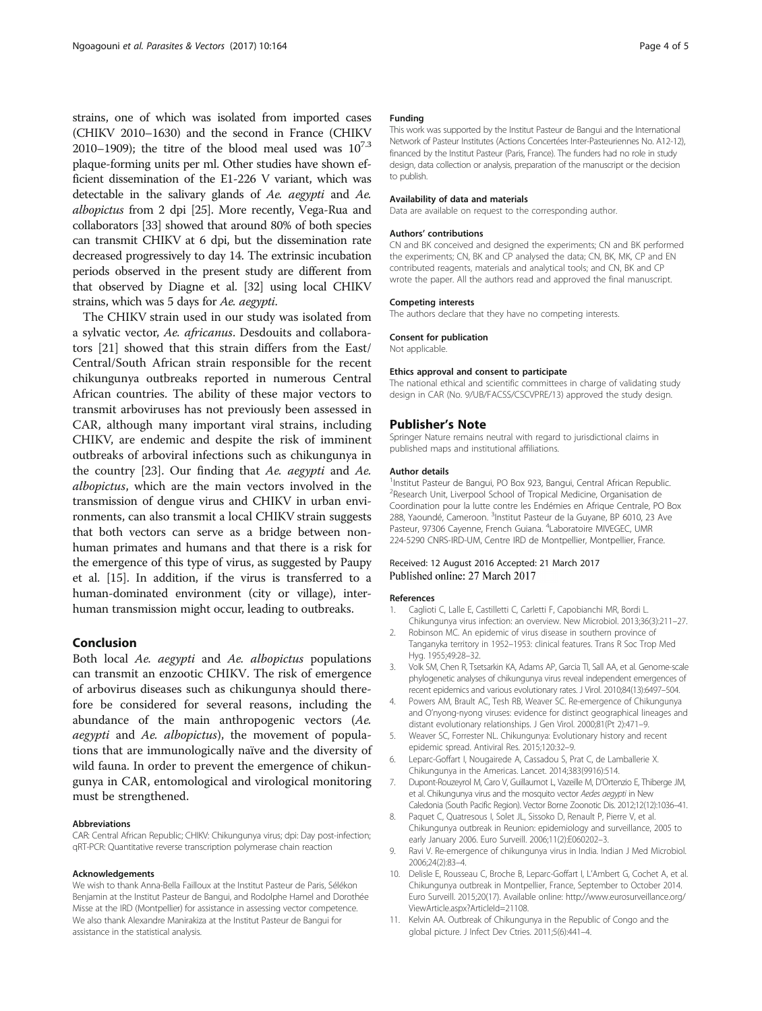<span id="page-3-0"></span>strains, one of which was isolated from imported cases (CHIKV 2010–1630) and the second in France (CHIKV 2010–1909); the titre of the blood meal used was  $10^{7.3}$ plaque-forming units per ml. Other studies have shown efficient dissemination of the E1-226 V variant, which was detectable in the salivary glands of Ae. aegypti and Ae. albopictus from 2 dpi [\[25\]](#page-4-0). More recently, Vega-Rua and collaborators [[33](#page-4-0)] showed that around 80% of both species can transmit CHIKV at 6 dpi, but the dissemination rate decreased progressively to day 14. The extrinsic incubation periods observed in the present study are different from that observed by Diagne et al. [\[32](#page-4-0)] using local CHIKV strains, which was 5 days for Ae. aegypti.

The CHIKV strain used in our study was isolated from a sylvatic vector, Ae. africanus. Desdouits and collaborators [[21\]](#page-4-0) showed that this strain differs from the East/ Central/South African strain responsible for the recent chikungunya outbreaks reported in numerous Central African countries. The ability of these major vectors to transmit arboviruses has not previously been assessed in CAR, although many important viral strains, including CHIKV, are endemic and despite the risk of imminent outbreaks of arboviral infections such as chikungunya in the country [\[23](#page-4-0)]. Our finding that Ae. aegypti and Ae. albopictus, which are the main vectors involved in the transmission of dengue virus and CHIKV in urban environments, can also transmit a local CHIKV strain suggests that both vectors can serve as a bridge between nonhuman primates and humans and that there is a risk for the emergence of this type of virus, as suggested by Paupy et al. [\[15\]](#page-4-0). In addition, if the virus is transferred to a human-dominated environment (city or village), interhuman transmission might occur, leading to outbreaks.

#### Conclusion

Both local Ae. aegypti and Ae. albopictus populations can transmit an enzootic CHIKV. The risk of emergence of arbovirus diseases such as chikungunya should therefore be considered for several reasons, including the abundance of the main anthropogenic vectors (Ae. aegypti and Ae. albopictus), the movement of populations that are immunologically naïve and the diversity of wild fauna. In order to prevent the emergence of chikungunya in CAR, entomological and virological monitoring must be strengthened.

#### Abbreviations

CAR: Central African Republic; CHIKV: Chikungunya virus; dpi: Day post-infection; qRT-PCR: Quantitative reverse transcription polymerase chain reaction

#### Acknowledgements

We wish to thank Anna-Bella Failloux at the Institut Pasteur de Paris, Sélékon Benjamin at the Institut Pasteur de Bangui, and Rodolphe Hamel and Dorothée Misse at the IRD (Montpellier) for assistance in assessing vector competence. We also thank Alexandre Manirakiza at the Institut Pasteur de Bangui for assistance in the statistical analysis.

#### Funding

This work was supported by the Institut Pasteur de Bangui and the International Network of Pasteur Institutes (Actions Concertées Inter-Pasteuriennes No. A12-12), financed by the Institut Pasteur (Paris, France). The funders had no role in study design, data collection or analysis, preparation of the manuscript or the decision to publish.

#### Availability of data and materials

Data are available on request to the corresponding author.

#### Authors' contributions

CN and BK conceived and designed the experiments; CN and BK performed the experiments; CN, BK and CP analysed the data; CN, BK, MK, CP and EN contributed reagents, materials and analytical tools; and CN, BK and CP wrote the paper. All the authors read and approved the final manuscript.

#### Competing interests

The authors declare that they have no competing interests.

#### Consent for publication

Not applicable.

#### Ethics approval and consent to participate

The national ethical and scientific committees in charge of validating study design in CAR (No. 9/UB/FACSS/CSCVPRE/13) approved the study design.

#### Publisher's Note

Springer Nature remains neutral with regard to jurisdictional claims in published maps and institutional affiliations.

#### Author details

<sup>1</sup>Institut Pasteur de Bangui, PO Box 923, Bangui, Central African Republic. <sup>2</sup>Research Unit, Liverpool School of Tropical Medicine, Organisation de Coordination pour la lutte contre les Endémies en Afrique Centrale, PO Box 288, Yaoundé, Cameroon. <sup>3</sup>Institut Pasteur de la Guyane, BP 6010, 23 Ave Pasteur, 97306 Cayenne, French Guiana. <sup>4</sup>Laboratoire MIVEGEC, UMR 224-5290 CNRS-IRD-UM, Centre IRD de Montpellier, Montpellier, France.

### Received: 12 August 2016 Accepted: 21 March 2017 Published online: 27 March 2017

#### References

- 1. Caglioti C, Lalle E, Castilletti C, Carletti F, Capobianchi MR, Bordi L. Chikungunya virus infection: an overview. New Microbiol. 2013;36(3):211–27.
- 2. Robinson MC. An epidemic of virus disease in southern province of Tanganyka territory in 1952–1953: clinical features. Trans R Soc Trop Med Hyg. 1955;49:28–32.
- 3. Volk SM, Chen R, Tsetsarkin KA, Adams AP, Garcia TI, Sall AA, et al. Genome-scale phylogenetic analyses of chikungunya virus reveal independent emergences of recent epidemics and various evolutionary rates. J Virol. 2010;84(13):6497–504.
- 4. Powers AM, Brault AC, Tesh RB, Weaver SC. Re-emergence of Chikungunya and O'nyong-nyong viruses: evidence for distinct geographical lineages and distant evolutionary relationships. J Gen Virol. 2000;81(Pt 2):471–9.
- 5. Weaver SC, Forrester NL. Chikungunya: Evolutionary history and recent epidemic spread. Antiviral Res. 2015;120:32–9.
- 6. Leparc-Goffart I, Nougairede A, Cassadou S, Prat C, de Lamballerie X. Chikungunya in the Americas. Lancet. 2014;383(9916):514.
- 7. Dupont-Rouzeyrol M, Caro V, Guillaumot L, Vazeille M, D'Ortenzio E, Thiberge JM, et al. Chikungunya virus and the mosquito vector Aedes aegypti in New Caledonia (South Pacific Region). Vector Borne Zoonotic Dis. 2012;12(12):1036–41.
- 8. Paquet C, Quatresous I, Solet JL, Sissoko D, Renault P, Pierre V, et al. Chikungunya outbreak in Reunion: epidemiology and surveillance, 2005 to early January 2006. Euro Surveill. 2006;11(2):E060202–3.
- 9. Ravi V. Re-emergence of chikungunya virus in India. Indian J Med Microbiol. 2006;24(2):83–4.
- 10. Delisle E, Rousseau C, Broche B, Leparc-Goffart I, L'Ambert G, Cochet A, et al. Chikungunya outbreak in Montpellier, France, September to October 2014. Euro Surveill. 2015;20(17). Available online: [http://www.eurosurveillance.org/](http://www.eurosurveillance.org/ViewArticle.aspx?ArticleId=21108) [ViewArticle.aspx?ArticleId=21108](http://www.eurosurveillance.org/ViewArticle.aspx?ArticleId=21108).
- 11. Kelvin AA. Outbreak of Chikungunya in the Republic of Congo and the global picture. J Infect Dev Ctries. 2011;5(6):441–4.